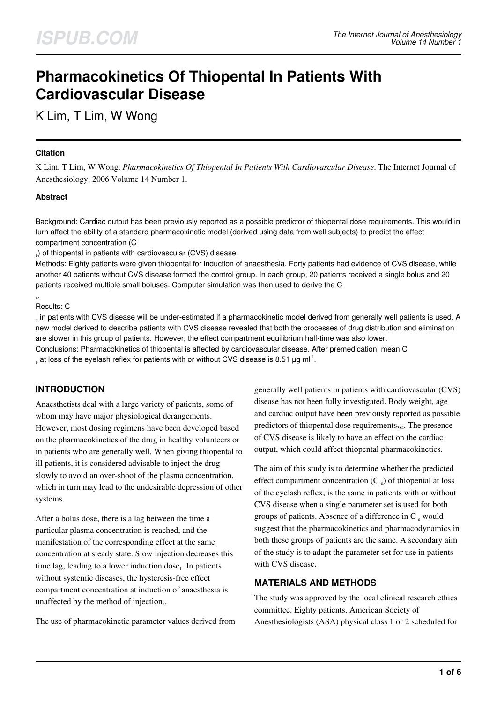# **Pharmacokinetics Of Thiopental In Patients With Cardiovascular Disease**

K Lim, T Lim, W Wong

#### **Citation**

K Lim, T Lim, W Wong. *Pharmacokinetics Of Thiopental In Patients With Cardiovascular Disease*. The Internet Journal of Anesthesiology. 2006 Volume 14 Number 1.

### **Abstract**

Background: Cardiac output has been previously reported as a possible predictor of thiopental dose requirements. This would in turn affect the ability of a standard pharmacokinetic model (derived using data from well subjects) to predict the effect compartment concentration (C

e ) of thiopental in patients with cardiovascular (CVS) disease.

Methods: Eighty patients were given thiopental for induction of anaesthesia. Forty patients had evidence of CVS disease, while another 40 patients without CVS disease formed the control group. In each group, 20 patients received a single bolus and 20 patients received multiple small boluses. Computer simulation was then used to derive the C

#### e . Results: C

 $_{\circ}$  in patients with CVS disease will be under-estimated if a pharmacokinetic model derived from generally well patients is used. A new model derived to describe patients with CVS disease revealed that both the processes of drug distribution and elimination are slower in this group of patients. However, the effect compartment equilibrium half-time was also lower. Conclusions: Pharmacokinetics of thiopental is affected by cardiovascular disease. After premedication, mean C

 $_{\circ}$  at loss of the eyelash reflex for patients with or without CVS disease is 8.51  $\mu$ g ml $^{\text{-}1}$ .

# **INTRODUCTION**

Anaesthetists deal with a large variety of patients, some of whom may have major physiological derangements. However, most dosing regimens have been developed based on the pharmacokinetics of the drug in healthy volunteers or in patients who are generally well. When giving thiopental to ill patients, it is considered advisable to inject the drug slowly to avoid an over-shoot of the plasma concentration, which in turn may lead to the undesirable depression of other systems.

After a bolus dose, there is a lag between the time a particular plasma concentration is reached, and the manifestation of the corresponding effect at the same concentration at steady state. Slow injection decreases this time lag, leading to a lower induction dose<sub>1</sub>. In patients without systemic diseases, the hysteresis-free effect compartment concentration at induction of anaesthesia is unaffected by the method of injection $_2$ .

The use of pharmacokinetic parameter values derived from

generally well patients in patients with cardiovascular (CVS) disease has not been fully investigated. Body weight, age and cardiac output have been previously reported as possible predictors of thiopental dose requirements<sub>3,4</sub>. The presence of CVS disease is likely to have an effect on the cardiac output, which could affect thiopental pharmacokinetics.

The aim of this study is to determine whether the predicted effect compartment concentration  $(C_e)$  of thiopental at loss of the eyelash reflex, is the same in patients with or without CVS disease when a single parameter set is used for both groups of patients. Absence of a difference in C e would suggest that the pharmacokinetics and pharmacodynamics in both these groups of patients are the same. A secondary aim of the study is to adapt the parameter set for use in patients with CVS disease.

# **MATERIALS AND METHODS**

The study was approved by the local clinical research ethics committee. Eighty patients, American Society of Anesthesiologists (ASA) physical class 1 or 2 scheduled for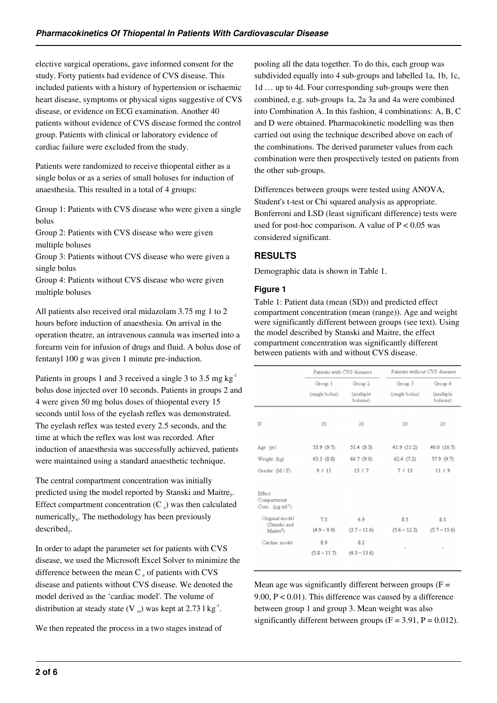elective surgical operations, gave informed consent for the study. Forty patients had evidence of CVS disease. This included patients with a history of hypertension or ischaemic heart disease, symptoms or physical signs suggestive of CVS disease, or evidence on ECG examination. Another 40 patients without evidence of CVS disease formed the control group. Patients with clinical or laboratory evidence of cardiac failure were excluded from the study.

Patients were randomized to receive thiopental either as a single bolus or as a series of small boluses for induction of anaesthesia. This resulted in a total of 4 groups:

Group 1: Patients with CVS disease who were given a single bolus

Group 2: Patients with CVS disease who were given multiple boluses

Group 3: Patients without CVS disease who were given a single bolus

Group 4: Patients without CVS disease who were given multiple boluses

All patients also received oral midazolam 3.75 mg 1 to 2 hours before induction of anaesthesia. On arrival in the operation theatre, an intravenous cannula was inserted into a forearm vein for infusion of drugs and fluid. A bolus dose of fentanyl 100 g was given 1 minute pre-induction.

Patients in groups 1 and 3 received a single 3 to 3.5 mg  $kg^{-1}$ bolus dose injected over 10 seconds. Patients in groups 2 and 4 were given 50 mg bolus doses of thiopental every 15 seconds until loss of the eyelash reflex was demonstrated. The eyelash reflex was tested every 2.5 seconds, and the time at which the reflex was lost was recorded. After induction of anaesthesia was successfully achieved, patients were maintained using a standard anaesthetic technique.

The central compartment concentration was initially predicted using the model reported by Stanski and Maitre<sub>5</sub>. Effect compartment concentration  $(C_e)$  was then calculated numerically<sub>6</sub>. The methodology has been previously  $described<sub>2</sub>$ .

In order to adapt the parameter set for patients with CVS disease, we used the Microsoft Excel Solver to minimize the difference between the mean  $C_e$  of patients with CVS disease and patients without CVS disease. We denoted the model derived as the 'cardiac model'. The volume of distribution at steady state (V  $_{ss}$ ) was kept at 2.73 l kg<sup>-1</sup>.

We then repeated the process in a two stages instead of

pooling all the data together. To do this, each group was subdivided equally into 4 sub-groups and labelled 1a, 1b, 1c, 1d … up to 4d. Four corresponding sub-groups were then combined, e.g. sub-groups 1a, 2a 3a and 4a were combined into Combination A. In this fashion, 4 combinations: A, B, C and D were obtained. Pharmacokinetic modelling was then carried out using the technique described above on each of the combinations. The derived parameter values from each combination were then prospectively tested on patients from the other sub-groups.

Differences between groups were tested using ANOVA, Student's t-test or Chi squared analysis as appropriate. Bonferroni and LSD (least significant difference) tests were used for post-hoc comparison. A value of  $P < 0.05$  was considered significant.

# **RESULTS**

Demographic data is shown in Table 1.

#### **Figure 1**

Table 1: Patient data (mean (SD)) and predicted effect compartment concentration (mean (range)). Age and weight were significantly different between groups (see text). Using the model described by Stanski and Maitre, the effect compartment concentration was significantly different between patients with and without CVS disease.

|                                                          |                | Patients without CVS diseases<br>Patients with CVS diseases |                |                       |
|----------------------------------------------------------|----------------|-------------------------------------------------------------|----------------|-----------------------|
|                                                          | Group 1        | Group 2                                                     | Group 3        | Group 4               |
|                                                          | (single bolus) | (multiple<br>boluses)                                       | (single bolus) | (multiple<br>boluses) |
| N                                                        | 20             | 20                                                          | 20             | 20                    |
|                                                          |                |                                                             |                |                       |
| Age (yr)                                                 | 53.9 (9.7)     | 51.4(9.3)                                                   | 41.9 (11.2)    | 40.0 (10.7)           |
| Weight (kg)                                              | 65.3 (8.8)     | 66.7 (9.0)                                                  | $62.6$ $(7.2)$ | 57.9 (9.7)            |
| Gender (M / F)                                           | 9/11           | 13/7                                                        | 7/13           | 11/9                  |
| Effect<br>Compartment<br>Conc. $(\mu g \text{ ml}^{-1})$ |                |                                                             |                |                       |
| Original model                                           | 7.5            | 6.9                                                         | 8.5            | 8.5                   |
| (Stanski and<br>Maitre <sup>3</sup> )                    | $(4.9 - 9.9)$  | $(3.7 - 11.6)$                                              | $(5.6 - 12.3)$ | $(5.7 - 15.6)$        |
| Cardiac model                                            | 8.9            | 8.2                                                         |                |                       |
|                                                          | $(5.8 - 11.7)$ | $(4.3 - 13.6)$                                              | ÷              |                       |
|                                                          |                |                                                             |                |                       |

Mean age was significantly different between groups  $(F =$ 9.00, P < 0.01). This difference was caused by a difference between group 1 and group 3. Mean weight was also significantly different between groups  $(F = 3.91, P = 0.012)$ .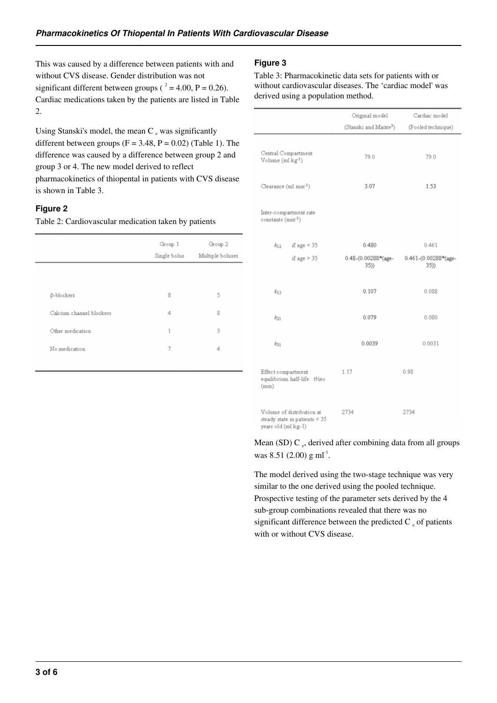This was caused by a difference between patients with and without CVS disease. Gender distribution was not significant different between groups ( $^2 = 4.00$ , P = 0.26). Cardiac medications taken by the patients are listed in Table 2.

Using Stanski's model, the mean  $C_e$  was significantly different between groups ( $F = 3.48$ ,  $P = 0.02$ ) (Table 1). The difference was caused by a difference between group 2 and group 3 or 4. The new model derived to reflect pharmacokinetics of thiopental in patients with CVS disease is shown in Table 3.

#### **Figure 2**

Table 2: Cardiovascular medication taken by patients

|                          | Group 1<br>Single bolus | Group 2<br>Multiple boluses |
|--------------------------|-------------------------|-----------------------------|
|                          |                         |                             |
| <b>ß-blockers</b>        | 8                       | 5                           |
| Calcium channel blockers | 4                       | 8                           |
| Other medication         | 1                       | 3                           |
| No medication            | 7                       | 4                           |
|                          |                         |                             |

#### **Figure 3**

Table 3: Pharmacokinetic data sets for patients with or without cardiovascular diseases. The 'cardiac model' was derived using a population method.

|                                                                                     | Original model                     | Cardiac model               |
|-------------------------------------------------------------------------------------|------------------------------------|-----------------------------|
|                                                                                     | (Stanski and Maitre <sup>3</sup> ) | (Pooled technique)          |
|                                                                                     |                                    |                             |
| Central Compartment<br>Volume $(ml$ kg <sup>-1</sup> )                              | 79.0                               | 79.0                        |
| Clearance (ml min <sup>-1</sup> )                                                   | 3.07                               | 1.53                        |
| Inter-compartment rate<br>constants (min <sup>-1</sup> )                            |                                    |                             |
| if age $\leq$ 35<br>$k_{12}$                                                        | 0.480                              | 0.461                       |
| if age $> 35$                                                                       | 0.48-(0.00288*(age-<br>35)         | 0.461-(0.00288*(age-<br>35) |
|                                                                                     |                                    |                             |
| $k_{13}$                                                                            | 0.107                              | 0.088                       |
| $k_{21}$                                                                            | 0.079                              | 0.080                       |
| $k_{31}$                                                                            | 0.0039                             | 0.0031                      |
| Effect compartment<br>equilibrium half-life: t½eo<br>(min)                          | 1.17                               | 0.98                        |
| Volume of distribution at<br>steady state in patients $<$ 35<br>years old (ml kg-1) | 2734                               | 2734                        |

Mean (SD) C  $_{e}$ , derived after combining data from all groups was 8.51 (2.00) g m $I<sup>-1</sup>$ .

The model derived using the two-stage technique was very similar to the one derived using the pooled technique. Prospective testing of the parameter sets derived by the 4 sub-group combinations revealed that there was no significant difference between the predicted C $_{e}$  of patients with or without CVS disease.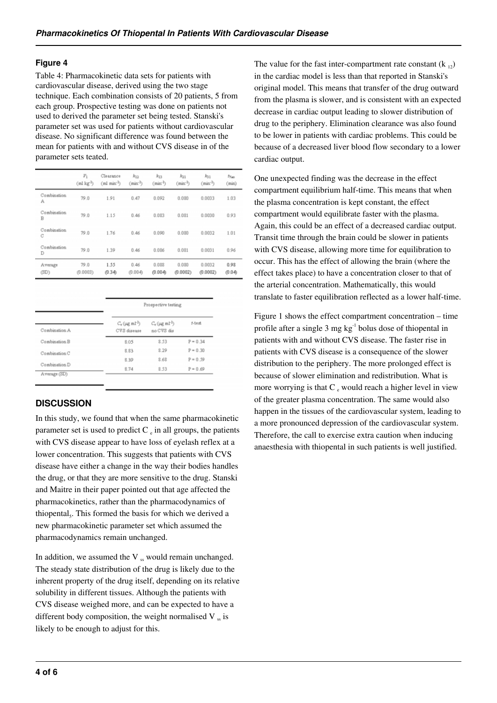#### **Figure 4**

Table 4: Pharmacokinetic data sets for patients with cardiovascular disease, derived using the two stage technique. Each combination consists of 20 patients, 5 from each group. Prospective testing was done on patients not used to derived the parameter set being tested. Stanski's parameter set was used for patients without cardiovascular disease. No significant difference was found between the mean for patients with and without CVS disease in of the parameter sets teated.

|                  | $V_1$<br>$(ml$ kg <sup>1</sup> ) | Clearance<br>(ml min <sup>2</sup> ) | $k_{12}$<br>$(min^{-1})$ | $k_{13}$<br>$(min^{-1})$ | $k_{21}$<br>$(\text{min}^1)$ | k31<br>$(\text{min}^2)$ | fy <sub>40</sub><br>(min) |
|------------------|----------------------------------|-------------------------------------|--------------------------|--------------------------|------------------------------|-------------------------|---------------------------|
| Combination<br>Α | 79.0                             | 1.91                                | 0.47                     | 0.092                    | 0.080                        | 0.0033                  | 1.03                      |
| Combination<br>B | 79.0                             | 1.15                                | 0.46                     | 0.083                    | 0.081                        | 0.0030                  | 0.93                      |
| Combination<br>C | 79.0                             | 1.76                                | 0.46                     | 0.090                    | 0.080                        | 0.0032                  | 1.01                      |
| Combination<br>D | 79.0                             | 1.39                                | 0.46                     | 0.086                    | 0.081                        | 0.0031                  | 0.96                      |
| Average<br>(SD)  | 79.0<br>(0.0003)                 | 1.55<br>(0.34)                      | 0.46<br>(0.004)          | 0.088<br>(0.004)         | 0.030<br>(0.0002)            | 0.0032<br>(0.0002)      | 0.98<br>(0.04)            |

|               |                                                   | Prospective testing                            |            |  |
|---------------|---------------------------------------------------|------------------------------------------------|------------|--|
| Combination A | $C_4$ ( $\mu$ g m <sup>1-1</sup> )<br>CVS disease | $C_4$ ( $\mu$ g m <sup>1</sup> )<br>no CVS dis | f-test     |  |
| Combination B | 8.05                                              | 8.53                                           | $P = 0.34$ |  |
| Combination C | 8.83                                              | 8.29                                           | $P = 0.30$ |  |
|               | 8.39                                              | 8.68                                           | $P = 0.59$ |  |
| Combination D | 8.74                                              | 8.53                                           | $P = 0.69$ |  |

# **DISCUSSION**

In this study, we found that when the same pharmacokinetic parameter set is used to predict  $C_e$  in all groups, the patients with CVS disease appear to have loss of eyelash reflex at a lower concentration. This suggests that patients with CVS disease have either a change in the way their bodies handles the drug, or that they are more sensitive to the drug. Stanski and Maitre in their paper pointed out that age affected the pharmacokinetics, rather than the pharmacodynamics of thiopental<sub>s</sub>. This formed the basis for which we derived a new pharmacokinetic parameter set which assumed the pharmacodynamics remain unchanged.

In addition, we assumed the  $V$   $\alpha$  would remain unchanged. The steady state distribution of the drug is likely due to the inherent property of the drug itself, depending on its relative solubility in different tissues. Although the patients with CVS disease weighed more, and can be expected to have a different body composition, the weight normalised  $V_{\rm ss}$  is likely to be enough to adjust for this.

The value for the fast inter-compartment rate constant  $(k_{12})$ in the cardiac model is less than that reported in Stanski's original model. This means that transfer of the drug outward from the plasma is slower, and is consistent with an expected decrease in cardiac output leading to slower distribution of drug to the periphery. Elimination clearance was also found to be lower in patients with cardiac problems. This could be because of a decreased liver blood flow secondary to a lower cardiac output.

One unexpected finding was the decrease in the effect compartment equilibrium half-time. This means that when the plasma concentration is kept constant, the effect compartment would equilibrate faster with the plasma. Again, this could be an effect of a decreased cardiac output. Transit time through the brain could be slower in patients with CVS disease, allowing more time for equilibration to occur. This has the effect of allowing the brain (where the effect takes place) to have a concentration closer to that of the arterial concentration. Mathematically, this would translate to faster equilibration reflected as a lower half-time.

Figure 1 shows the effect compartment concentration – time profile after a single  $3 \text{ mg kg}^{-1}$  bolus dose of thiopental in patients with and without CVS disease. The faster rise in patients with CVS disease is a consequence of the slower distribution to the periphery. The more prolonged effect is because of slower elimination and redistribution. What is more worrying is that C<sub>e</sub> would reach a higher level in view of the greater plasma concentration. The same would also happen in the tissues of the cardiovascular system, leading to a more pronounced depression of the cardiovascular system. Therefore, the call to exercise extra caution when inducing anaesthesia with thiopental in such patients is well justified.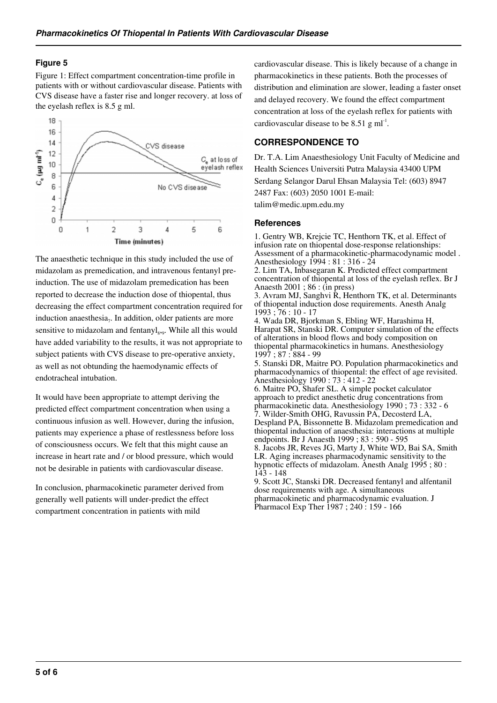### **Figure 5**

Figure 1: Effect compartment concentration-time profile in patients with or without cardiovascular disease. Patients with CVS disease have a faster rise and longer recovery. at loss of the eyelash reflex is 8.5 g ml.



The anaesthetic technique in this study included the use of midazolam as premedication, and intravenous fentanyl preinduction. The use of midazolam premedication has been reported to decrease the induction dose of thiopental, thus decreasing the effect compartment concentration required for induction anaesthesia $_7$ . In addition, older patients are more sensitive to midazolam and fentanyl<sub>8,9</sub>. While all this would have added variability to the results, it was not appropriate to subject patients with CVS disease to pre-operative anxiety, as well as not obtunding the haemodynamic effects of endotracheal intubation.

It would have been appropriate to attempt deriving the predicted effect compartment concentration when using a continuous infusion as well. However, during the infusion, patients may experience a phase of restlessness before loss of consciousness occurs. We felt that this might cause an increase in heart rate and / or blood pressure, which would not be desirable in patients with cardiovascular disease.

In conclusion, pharmacokinetic parameter derived from generally well patients will under-predict the effect compartment concentration in patients with mild

cardiovascular disease. This is likely because of a change in pharmacokinetics in these patients. Both the processes of distribution and elimination are slower, leading a faster onset and delayed recovery. We found the effect compartment concentration at loss of the eyelash reflex for patients with cardiovascular disease to be  $8.51$  g ml<sup>-1</sup>.

# **CORRESPONDENCE TO**

Dr. T.A. Lim Anaesthesiology Unit Faculty of Medicine and Health Sciences Universiti Putra Malaysia 43400 UPM Serdang Selangor Darul Ehsan Malaysia Tel: (603) 8947 2487 Fax: (603) 2050 1001 E-mail: talim@medic.upm.edu.my

#### **References**

1. Gentry WB, Krejcie TC, Henthorn TK, et al. Effect of infusion rate on thiopental dose-response relationships: Assessment of a pharmacokinetic-pharmacodynamic model . Anesthesiology 1994 : 81 : 316 - 24 2. Lim TA, Inbasegaran K. Predicted effect compartment

concentration of thiopental at loss of the eyelash reflex. Br J Anaesth 2001 ; 86 : (in press)

3. Avram MJ, Sanghvi R, Henthorn TK, et al. Determinants of thiopental induction dose requirements. Anesth Analg 1993 ; 76 : 10 - 17

4. Wada DR, Bjorkman S, Ebling WF, Harashima H, Harapat SR, Stanski DR. Computer simulation of the effects of alterations in blood flows and body composition on thiopental pharmacokinetics in humans. Anesthesiology 1997 ; 87 : 884 - 99

5. Stanski DR, Maitre PO. Population pharmacokinetics and pharmacodynamics of thiopental: the effect of age revisited. Anesthesiology 1990 : 73 : 412 - 22

6. Maitre PO, Shafer SL. A simple pocket calculator approach to predict anesthetic drug concentrations from pharmacokinetic data. Anesthesiology 1990 ; 73 : 332 - 6 7. Wilder-Smith OHG, Ravussin PA, Decosterd LA, Despland PA, Bissonnette B. Midazolam premedication and thiopental induction of anaesthesia: interactions at multiple endpoints. Br J Anaesth 1999 ; 83 : 590 - 595

8. Jacobs JR, Reves JG, Marty J, White WD, Bai SA, Smith LR. Aging increases pharmacodynamic sensitivity to the hypnotic effects of midazolam. Anesth Analg 1995 ; 80 : 143 - 148

9. Scott JC, Stanski DR. Decreased fentanyl and alfentanil dose requirements with age. A simultaneous pharmacokinetic and pharmacodynamic evaluation. J Pharmacol Exp Ther 1987; 240: 159 - 166